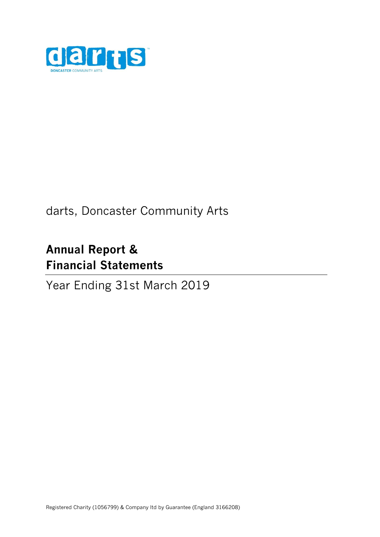

# darts, Doncaster Community Arts

# **Annual Report & Financial Statements**

# Year Ending 31st March 2019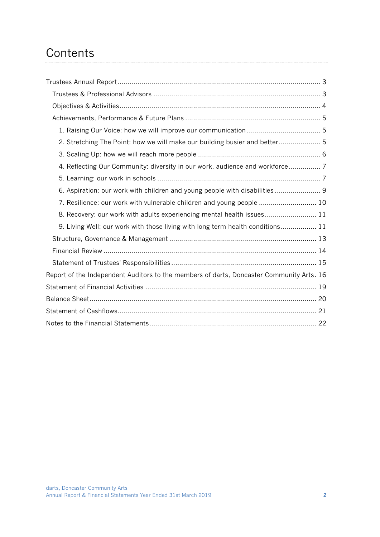# **Contents**

| 2. Stretching The Point: how we will make our building busier and better 5               |  |
|------------------------------------------------------------------------------------------|--|
|                                                                                          |  |
| 4. Reflecting Our Community: diversity in our work, audience and workforce 7             |  |
|                                                                                          |  |
| 6. Aspiration: our work with children and young people with disabilities  9              |  |
| 7. Resilience: our work with vulnerable children and young people  10                    |  |
| 8. Recovery: our work with adults experiencing mental health issues 11                   |  |
| 9. Living Well: our work with those living with long term health conditions 11           |  |
|                                                                                          |  |
|                                                                                          |  |
|                                                                                          |  |
| Report of the Independent Auditors to the members of darts, Doncaster Community Arts. 16 |  |
|                                                                                          |  |
|                                                                                          |  |
|                                                                                          |  |
|                                                                                          |  |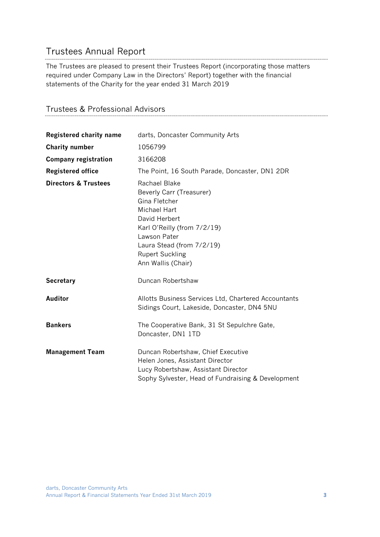# <span id="page-2-0"></span>Trustees Annual Report

The Trustees are pleased to present their Trustees Report (incorporating those matters required under Company Law in the Directors' Report) together with the financial statements of the Charity for the year ended 31 March 2019

```
Trustees & Professional Advisors
```

| <b>Registered charity name</b>  | darts, Doncaster Community Arts                                                                                                                                                                                                |
|---------------------------------|--------------------------------------------------------------------------------------------------------------------------------------------------------------------------------------------------------------------------------|
| <b>Charity number</b>           | 1056799                                                                                                                                                                                                                        |
| <b>Company registration</b>     | 3166208                                                                                                                                                                                                                        |
| <b>Registered office</b>        | The Point, 16 South Parade, Doncaster, DN1 2DR                                                                                                                                                                                 |
| <b>Directors &amp; Trustees</b> | Rachael Blake<br>Beverly Carr (Treasurer)<br>Gina Fletcher<br><b>Michael Hart</b><br>David Herbert<br>Karl O'Reilly (from 7/2/19)<br>Lawson Pater<br>Laura Stead (from 7/2/19)<br><b>Rupert Suckling</b><br>Ann Wallis (Chair) |
| <b>Secretary</b>                | Duncan Robertshaw                                                                                                                                                                                                              |
| <b>Auditor</b>                  | Allotts Business Services Ltd, Chartered Accountants<br>Sidings Court, Lakeside, Doncaster, DN4 5NU                                                                                                                            |
| <b>Bankers</b>                  | The Cooperative Bank, 31 St Sepulchre Gate,<br>Doncaster, DN1 1TD                                                                                                                                                              |
| <b>Management Team</b>          | Duncan Robertshaw, Chief Executive<br>Helen Jones, Assistant Director<br>Lucy Robertshaw, Assistant Director<br>Sophy Sylvester, Head of Fundraising & Development                                                             |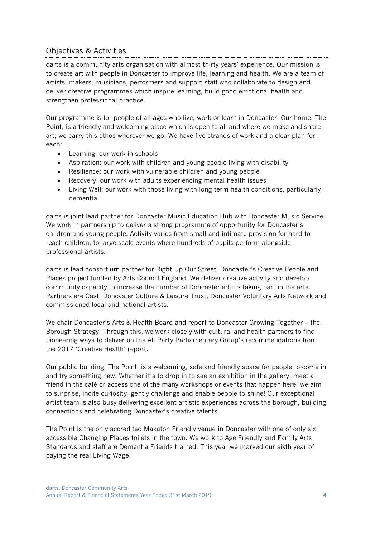# <span id="page-3-0"></span>Objectives & Activities

darts is a community arts organisation with almost thirty years' experience. Our mission is to create art with people in Doncaster to improve life, learning and health. We are a team of artists, makers, musicians, performers and support staff who collaborate to design and deliver creative programmes which inspire learning, build good emotional health and strengthen professional practice.

Our programme is for people of all ages who live, work or learn in Doncaster. Our home, The Point, is a friendly and welcoming place which is open to all and where we make and share art; we carry this ethos wherever we go. We have five strands of work and a clear plan for each:

- Learning: our work in schools
- Aspiration: our work with children and young people living with disability
- Resilience: our work with vulnerable children and young people
- Recovery: our work with adults experiencing mental health issues
- Living Well: our work with those living with long-term health conditions, particularly dementia

darts is joint lead partner for Doncaster Music Education Hub with Doncaster Music Service. We work in partnership to deliver a strong programme of opportunity for Doncaster's children and young people. Activity varies from small and intimate provision for hard to reach children, to large scale events where hundreds of pupils perform alongside professional artists.

darts is lead consortium partner for Right Up Our Street, Doncaster's Creative People and Places project funded by Arts Council England. We deliver creative activity and develop community capacity to increase the number of Doncaster adults taking part in the arts. Partners are Cast, Doncaster Culture & Leisure Trust, Doncaster Voluntary Arts Network and commissioned local and national artists.

We chair Doncaster's Arts & Health Board and report to Doncaster Growing Together – the Borough Strategy. Through this, we work closely with cultural and health partners to find pioneering ways to deliver on the All Party Parliamentary Group's recommendations from the 2017 'Creative Health' report.

Our public building, The Point, is a welcoming, safe and friendly space for people to come in and try something new. Whether it's to drop in to see an exhibition in the gallery, meet a friend in the café or access one of the many workshops or events that happen here; we aim to surprise, incite curiosity, gently challenge and enable people to shine! Our exceptional artist team is also busy delivering excellent artistic experiences across the borough, building connections and celebrating Doncaster's creative talents.

The Point is the only accredited Makaton Friendly venue in Doncaster with one of only six accessible Changing Places toilets in the town. We work to Age Friendly and Family Arts Standards and staff are Dementia Friends trained. This year we marked our sixth year of paying the real Living Wage.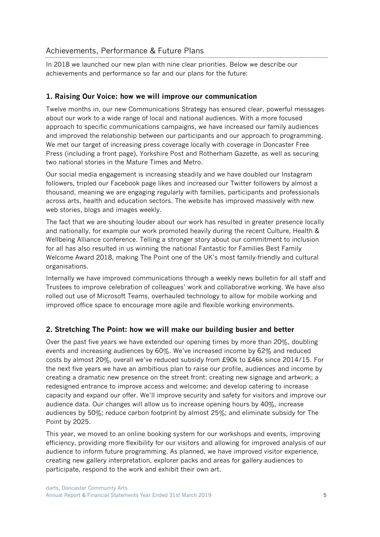# <span id="page-4-0"></span>Achievements, Performance & Future Plans

In 2018 we launched our new plan with nine clear priorities. Below we describe our achievements and performance so far and our plans for the future:

# <span id="page-4-1"></span>**1. Raising Our Voice: how we will improve our communication**

Twelve months in, our new Communications Strategy has ensured clear, powerful messages about our work to a wide range of local and national audiences. With a more focused approach to specific communications campaigns, we have increased our family audiences and improved the relationship between our participants and our approach to programming. We met our target of increasing press coverage locally with coverage in Doncaster Free Press (including a front page), Yorkshire Post and Rotherham Gazette, as well as securing two national stories in the Mature Times and Metro.

Our social media engagement is increasing steadily and we have doubled our Instagram followers, tripled our Facebook page likes and increased our Twitter followers by almost a thousand, meaning we are engaging regularly with families, participants and professionals across arts, health and education sectors. The website has improved massively with new web stories, blogs and images weekly.

The fact that we are shouting louder about our work has resulted in greater presence locally and nationally, for example our work promoted heavily during the recent Culture, Health & Wellbeing Alliance conference. Telling a stronger story about our commitment to inclusion for all has also resulted in us winning the national Fantastic for Families Best Family Welcome Award 2018, making The Point one of the UK's most family-friendly and cultural organisations.

Internally we have improved communications through a weekly news bulletin for all staff and Trustees to improve celebration of colleagues' work and collaborative working. We have also rolled out use of Microsoft Teams, overhauled technology to allow for mobile working and improved office space to encourage more agile and flexible working environments.

# <span id="page-4-2"></span>**2. Stretching The Point: how we will make our building busier and better**

Over the past five years we have extended our opening times by more than 20%, doubling events and increasing audiences by 60%. We've increased income by 62% and reduced costs by almost 20%, overall we've reduced subsidy from £90k to £46k since 2014/15. For the next five years we have an ambitious plan to raise our profile, audiences and income by creating a dramatic new presence on the street front: creating new signage and artwork; a redesigned entrance to improve access and welcome; and develop catering to increase capacity and expand our offer. We'll improve security and safety for visitors and improve our audience data. Our changes will allow us to increase opening hours by 40%, increase audiences by 50%; reduce carbon footprint by almost 25%; and eliminate subsidy for The Point by 2025.

This year, we moved to an online booking system for our workshops and events, improving efficiency, providing more flexibility for our visitors and allowing for improved analysis of our audience to inform future programming. As planned, we have improved visitor experience, creating new gallery interpretation, explorer packs and areas for gallery audiences to participate, respond to the work and exhibit their own art.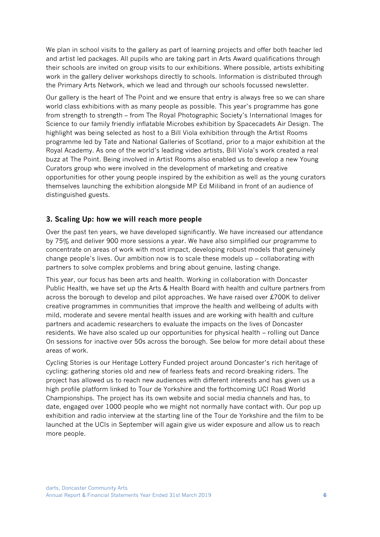We plan in school visits to the gallery as part of learning projects and offer both teacher led and artist led packages. All pupils who are taking part in Arts Award qualifications through their schools are invited on group visits to our exhibitions. Where possible, artists exhibiting work in the gallery deliver workshops directly to schools. Information is distributed through the Primary Arts Network, which we lead and through our schools focussed newsletter.

Our gallery is the heart of The Point and we ensure that entry is always free so we can share world class exhibitions with as many people as possible. This year's programme has gone from strength to strength – from The Royal Photographic Society's International Images for Science to our family friendly inflatable Microbes exhibition by Spacecadets Air Design. The highlight was being selected as host to a Bill Viola exhibition through the Artist Rooms programme led by Tate and National Galleries of Scotland, prior to a major exhibition at the Royal Academy. As one of the world's leading video artists, Bill Viola's work created a real buzz at The Point. Being involved in Artist Rooms also enabled us to develop a new Young Curators group who were involved in the development of marketing and creative opportunities for other young people inspired by the exhibition as well as the young curators themselves launching the exhibition alongside MP Ed Miliband in front of an audience of distinguished guests.

### <span id="page-5-0"></span>**3. Scaling Up: how we will reach more people**

Over the past ten years, we have developed significantly. We have increased our attendance by 75% and deliver 900 more sessions a year. We have also simplified our programme to concentrate on areas of work with most impact, developing robust models that genuinely change people's lives. Our ambition now is to scale these models up – collaborating with partners to solve complex problems and bring about genuine, lasting change.

This year, our focus has been arts and health. Working in collaboration with Doncaster Public Health, we have set up the Arts & Health Board with health and culture partners from across the borough to develop and pilot approaches. We have raised over £700K to deliver creative programmes in communities that improve the health and wellbeing of adults with mild, moderate and severe mental health issues and are working with health and culture partners and academic researchers to evaluate the impacts on the lives of Doncaster residents. We have also scaled up our opportunities for physical health – rolling out Dance On sessions for inactive over 50s across the borough. See below for more detail about these areas of work.

Cycling Stories is our Heritage Lottery Funded project around Doncaster's rich heritage of cycling: gathering stories old and new of fearless feats and record-breaking riders. The project has allowed us to reach new audiences with different interests and has given us a high profile platform linked to Tour de Yorkshire and the forthcoming UCI Road World Championships. The project has its own website and social media channels and has, to date, engaged over 1000 people who we might not normally have contact with. Our pop up exhibition and radio interview at the starting line of the Tour de Yorkshire and the film to be launched at the UCIs in September will again give us wider exposure and allow us to reach more people.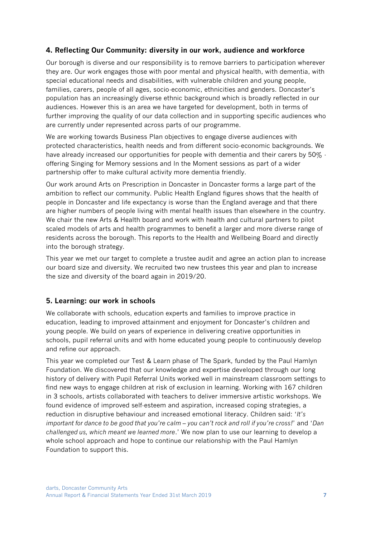# <span id="page-6-0"></span>**4. Reflecting Our Community: diversity in our work, audience and workforce**

Our borough is diverse and our responsibility is to remove barriers to participation wherever they are. Our work engages those with poor mental and physical health, with dementia, with special educational needs and disabilities, with vulnerable children and young people, families, carers, people of all ages, socio-economic, ethnicities and genders. Doncaster's population has an increasingly diverse ethnic background which is broadly reflected in our audiences. However this is an area we have targeted for development, both in terms of further improving the quality of our data collection and in supporting specific audiences who are currently under represented across parts of our programme.

We are working towards Business Plan objectives to engage diverse audiences with protected characteristics, health needs and from different socio-economic backgrounds. We have already increased our opportunities for people with dementia and their carers by 50% offering Singing for Memory sessions and In the Moment sessions as part of a wider partnership offer to make cultural activity more dementia friendly.

Our work around Arts on Prescription in Doncaster in Doncaster forms a large part of the ambition to reflect our community. Public Health England figures shows that the health of people in Doncaster and life expectancy is worse than the England average and that there are higher numbers of people living with mental health issues than elsewhere in the country. We chair the new Arts & Health board and work with health and cultural partners to pilot scaled models of arts and health programmes to benefit a larger and more diverse range of residents across the borough. This reports to the Health and Wellbeing Board and directly into the borough strategy.

This year we met our target to complete a trustee audit and agree an action plan to increase our board size and diversity. We recruited two new trustees this year and plan to increase the size and diversity of the board again in 2019/20.

# <span id="page-6-1"></span>**5. Learning: our work in schools**

We collaborate with schools, education experts and families to improve practice in education, leading to improved attainment and enjoyment for Doncaster's children and young people. We build on years of experience in delivering creative opportunities in schools, pupil referral units and with home educated young people to continuously develop and refine our approach.

This year we completed our Test & Learn phase of The Spark, funded by the Paul Hamlyn Foundation. We discovered that our knowledge and expertise developed through our long history of delivery with Pupil Referral Units worked well in mainstream classroom settings to find new ways to engage children at risk of exclusion in learning. Working with 167 children in 3 schools, artists collaborated with teachers to deliver immersive artistic workshops. We found evidence of improved self-esteem and aspiration, increased coping strategies, a reduction in disruptive behaviour and increased emotional literacy. Children said: '*It's important for dance to be good that you're calm – you can't rock and roll if you're cross!*' and '*Dan challenged us, which meant we learned more*.' We now plan to use our learning to develop a whole school approach and hope to continue our relationship with the Paul Hamlyn Foundation to support this.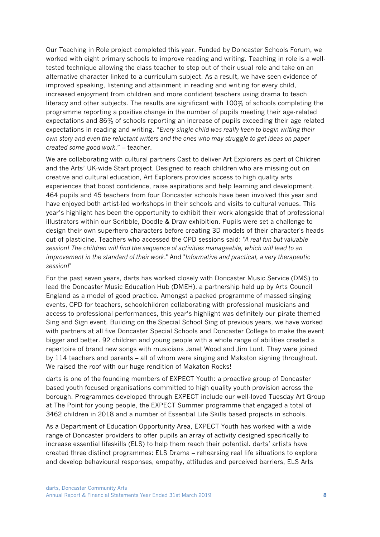Our Teaching in Role project completed this year. Funded by Doncaster Schools Forum, we worked with eight primary schools to improve reading and writing. Teaching in role is a welltested technique allowing the class teacher to step out of their usual role and take on an alternative character linked to a curriculum subject. As a result, we have seen evidence of improved speaking, listening and attainment in reading and writing for every child, increased enjoyment from children and more confident teachers using drama to teach literacy and other subjects. The results are significant with 100% of schools completing the programme reporting a positive change in the number of pupils meeting their age-related expectations and 86% of schools reporting an increase of pupils exceeding their age related expectations in reading and writing. "*Every single child was really keen to begin writing their own story and even the reluctant writers and the ones who may struggle to get ideas on paper created some good work*." – teacher.

We are collaborating with cultural partners Cast to deliver Art Explorers as part of Children and the Arts' UK-wide Start project. Designed to reach children who are missing out on creative and cultural education, Art Explorers provides access to high quality arts experiences that boost confidence, raise aspirations and help learning and development. 464 pupils and 45 teachers from four Doncaster schools have been involved this year and have enjoyed both artist-led workshops in their schools and visits to cultural venues. This year's highlight has been the opportunity to exhibit their work alongside that of professional illustrators within our Scribble, Doodle & Draw exhibition. Pupils were set a challenge to design their own superhero characters before creating 3D models of their character's heads out of plasticine. Teachers who accessed the CPD sessions said: "*A real fun but valuable session! The children will find the sequence of activities manageable, which will lead to an improvement in the standard of their work*." And "*Informative and practical, a very therapeutic session!*"

For the past seven years, darts has worked closely with Doncaster Music Service (DMS) to lead the Doncaster Music Education Hub (DMEH), a partnership held up by Arts Council England as a model of good practice. Amongst a packed programme of massed singing events, CPD for teachers, schoolchildren collaborating with professional musicians and access to professional performances, this year's highlight was definitely our pirate themed Sing and Sign event. Building on the Special School Sing of previous years, we have worked with partners at all five Doncaster Special Schools and Doncaster College to make the event bigger and better. 92 children and young people with a whole range of abilities created a repertoire of brand new songs with musicians Janet Wood and Jim Lunt. They were joined by 114 teachers and parents – all of whom were singing and Makaton signing throughout. We raised the roof with our huge rendition of Makaton Rocks!

darts is one of the founding members of EXPECT Youth: a proactive group of Doncaster based youth focused organisations committed to high quality youth provision across the borough. Programmes developed through EXPECT include our well-loved Tuesday Art Group at The Point for young people, the EXPECT Summer programme that engaged a total of 3462 children in 2018 and a number of Essential Life Skills based projects in schools.

As a Department of Education Opportunity Area, EXPECT Youth has worked with a wide range of Doncaster providers to offer pupils an array of activity designed specifically to increase essential lifeskills (ELS) to help them reach their potential. darts' artists have created three distinct programmes: ELS Drama – rehearsing real life situations to explore and develop behavioural responses, empathy, attitudes and perceived barriers, ELS Arts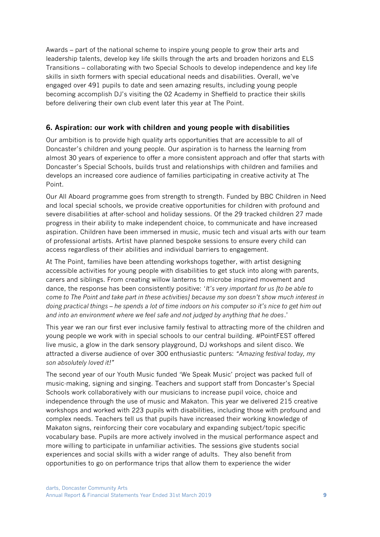Awards – part of the national scheme to inspire young people to grow their arts and leadership talents, develop key life skills through the arts and broaden horizons and ELS Transitions – collaborating with two Special Schools to develop independence and key life skills in sixth formers with special educational needs and disabilities. Overall, we've engaged over 491 pupils to date and seen amazing results, including young people becoming accomplish DJ's visiting the 02 Academy in Sheffield to practice their skills before delivering their own club event later this year at The Point.

# <span id="page-8-0"></span>**6. Aspiration: our work with children and young people with disabilities**

Our ambition is to provide high quality arts opportunities that are accessible to all of Doncaster's children and young people. Our aspiration is to harness the learning from almost 30 years of experience to offer a more consistent approach and offer that starts with Doncaster's Special Schools, builds trust and relationships with children and families and develops an increased core audience of families participating in creative activity at The Point.

Our All Aboard programme goes from strength to strength. Funded by BBC Children in Need and local special schools, we provide creative opportunities for children with profound and severe disabilities at after-school and holiday sessions. Of the 29 tracked children 27 made progress in their ability to make independent choice, to communicate and have increased aspiration. Children have been immersed in music, music tech and visual arts with our team of professional artists. Artist have planned bespoke sessions to ensure every child can access regardless of their abilities and individual barriers to engagement.

At The Point, families have been attending workshops together, with artist designing accessible activities for young people with disabilities to get stuck into along with parents, carers and siblings. From creating willow lanterns to microbe inspired movement and dance, the response has been consistently positive: '*It's very important for us [to be able to come to The Point and take part in these activities] because my son doesn't show much interest in doing practical things – he spends a lot of time indoors on his computer so it's nice to get him out and into an environment where we feel safe and not judged by anything that he does*.'

This year we ran our first ever inclusive family festival to attracting more of the children and young people we work with in special schools to our central building. #PointFEST offered live music, a glow in the dark sensory playground, DJ workshops and silent disco. We attracted a diverse audience of over 300 enthusiastic punters: *"Amazing festival today, my son absolutely loved it!"* 

The second year of our Youth Music funded 'We Speak Music' project was packed full of music-making, signing and singing. Teachers and support staff from Doncaster's Special Schools work collaboratively with our musicians to increase pupil voice, choice and independence through the use of music and Makaton. This year we delivered 215 creative workshops and worked with 223 pupils with disabilities, including those with profound and complex needs. Teachers tell us that pupils have increased their working knowledge of Makaton signs, reinforcing their core vocabulary and expanding subject/topic specific vocabulary base. Pupils are more actively involved in the musical performance aspect and more willing to participate in unfamiliar activities. The sessions give students social experiences and social skills with a wider range of adults. They also benefit from opportunities to go on performance trips that allow them to experience the wider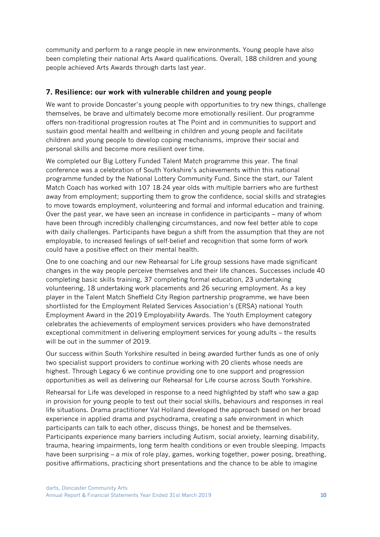community and perform to a range people in new environments. Young people have also been completing their national Arts Award qualifications. Overall, 188 children and young people achieved Arts Awards through darts last year.

### <span id="page-9-0"></span>**7. Resilience: our work with vulnerable children and young people**

We want to provide Doncaster's young people with opportunities to try new things, challenge themselves, be brave and ultimately become more emotionally resilient. Our programme offers non-traditional progression routes at The Point and in communities to support and sustain good mental health and wellbeing in children and young people and facilitate children and young people to develop coping mechanisms, improve their social and personal skills and become more resilient over time.

We completed our Big Lottery Funded Talent Match programme this year. The final conference was a celebration of South Yorkshire's achievements within this national programme funded by the National Lottery Community Fund. Since the start, our Talent Match Coach has worked with 107 18-24 year olds with multiple barriers who are furthest away from employment; supporting them to grow the confidence, social skills and strategies to move towards employment, volunteering and formal and informal education and training. Over the past year, we have seen an increase in confidence in participants – many of whom have been through incredibly challenging circumstances, and now feel better able to cope with daily challenges. Participants have begun a shift from the assumption that they are not employable, to increased feelings of self-belief and recognition that some form of work could have a positive effect on their mental health.

One to one coaching and our new Rehearsal for Life group sessions have made significant changes in the way people perceive themselves and their life chances. Successes include 40 completing basic skills training, 37 completing formal education, 23 undertaking volunteering, 18 undertaking work placements and 26 securing employment. As a key player in the Talent Match Sheffield City Region partnership programme, we have been shortlisted for the Employment Related Services Association's (ERSA) national Youth Employment Award in the 2019 Employability Awards. The Youth Employment category celebrates the achievements of employment services providers who have demonstrated exceptional commitment in delivering employment services for young adults – the results will be out in the summer of 2019.

Our success within South Yorkshire resulted in being awarded further funds as one of only two specialist support providers to continue working with 20 clients whose needs are highest. Through Legacy 6 we continue providing one to one support and progression opportunities as well as delivering our Rehearsal for Life course across South Yorkshire.

Rehearsal for Life was developed in response to a need highlighted by staff who saw a gap in provision for young people to test out their social skills, behaviours and responses in real life situations. Drama practitioner Val Holland developed the approach based on her broad experience in applied drama and psychodrama, creating a safe environment in which participants can talk to each other, discuss things, be honest and be themselves. Participants experience many barriers including Autism, social anxiety, learning disability, trauma, hearing impairments, long term health conditions or even trouble sleeping. Impacts have been surprising – a mix of role play, games, working together, power posing, breathing, positive affirmations, practicing short presentations and the chance to be able to imagine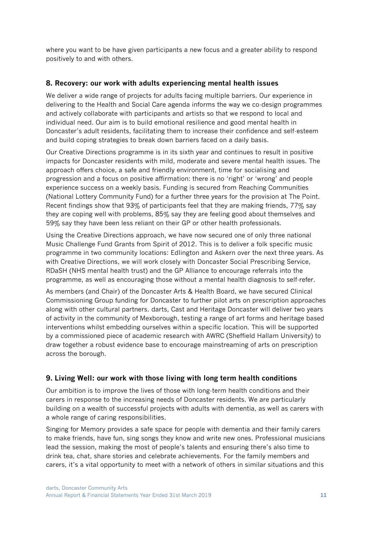where you want to be have given participants a new focus and a greater ability to respond positively to and with others.

# <span id="page-10-0"></span>**8. Recovery: our work with adults experiencing mental health issues**

We deliver a wide range of projects for adults facing multiple barriers. Our experience in delivering to the Health and Social Care agenda informs the way we co-design programmes and actively collaborate with participants and artists so that we respond to local and individual need. Our aim is to build emotional resilience and good mental health in Doncaster's adult residents, facilitating them to increase their confidence and self-esteem and build coping strategies to break down barriers faced on a daily basis.

Our Creative Directions programme is in its sixth year and continues to result in positive impacts for Doncaster residents with mild, moderate and severe mental health issues. The approach offers choice, a safe and friendly environment, time for socialising and progression and a focus on positive affirmation: there is no 'right' or 'wrong' and people experience success on a weekly basis. Funding is secured from Reaching Communities (National Lottery Community Fund) for a further three years for the provision at The Point. Recent findings show that 93% of participants feel that they are making friends, 77% say they are coping well with problems, 85% say they are feeling good about themselves and 59% say they have been less reliant on their GP or other health professionals.

Using the Creative Directions approach, we have now secured one of only three national Music Challenge Fund Grants from Spirit of 2012. This is to deliver a folk specific music programme in two community locations: Edlington and Askern over the next three years. As with Creative Directions, we will work closely with Doncaster Social Prescribing Service, RDaSH (NHS mental health trust) and the GP Alliance to encourage referrals into the programme, as well as encouraging those without a mental health diagnosis to self-refer.

As members (and Chair) of the Doncaster Arts & Health Board, we have secured Clinical Commissioning Group funding for Doncaster to further pilot arts on prescription approaches along with other cultural partners. darts, Cast and Heritage Doncaster will deliver two years of activity in the community of Mexborough, testing a range of art forms and heritage based interventions whilst embedding ourselves within a specific location. This will be supported by a commissioned piece of academic research with AWRC (Sheffield Hallam University) to draw together a robust evidence base to encourage mainstreaming of arts on prescription across the borough.

# <span id="page-10-1"></span>**9. Living Well: our work with those living with long term health conditions**

Our ambition is to improve the lives of those with long-term health conditions and their carers in response to the increasing needs of Doncaster residents. We are particularly building on a wealth of successful projects with adults with dementia, as well as carers with a whole range of caring responsibilities.

Singing for Memory provides a safe space for people with dementia and their family carers to make friends, have fun, sing songs they know and write new ones. Professional musicians lead the session, making the most of people's talents and ensuring there's also time to drink tea, chat, share stories and celebrate achievements. For the family members and carers, it's a vital opportunity to meet with a network of others in similar situations and this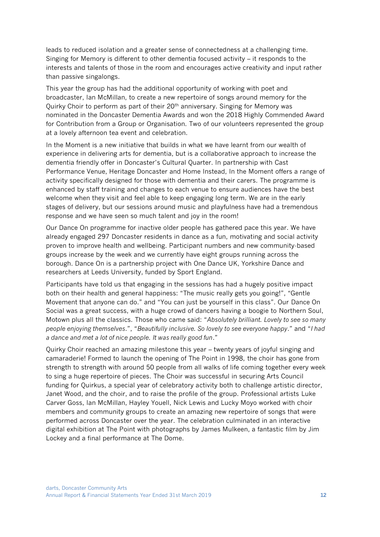leads to reduced isolation and a greater sense of connectedness at a challenging time. Singing for Memory is different to other dementia focused activity – it responds to the interests and talents of those in the room and encourages active creativity and input rather than passive singalongs.

This year the group has had the additional opportunity of working with poet and broadcaster, Ian McMillan, to create a new repertoire of songs around memory for the Quirky Choir to perform as part of their  $20<sup>th</sup>$  anniversary. Singing for Memory was nominated in the Doncaster Dementia Awards and won the 2018 Highly Commended Award for Contribution from a Group or Organisation. Two of our volunteers represented the group at a lovely afternoon tea event and celebration.

In the Moment is a new initiative that builds in what we have learnt from our wealth of experience in delivering arts for dementia, but is a collaborative approach to increase the dementia friendly offer in Doncaster's Cultural Quarter. In partnership with Cast Performance Venue, Heritage Doncaster and Home Instead, In the Moment offers a range of activity specifically designed for those with dementia and their carers. The programme is enhanced by staff training and changes to each venue to ensure audiences have the best welcome when they visit and feel able to keep engaging long term. We are in the early stages of delivery, but our sessions around music and playfulness have had a tremendous response and we have seen so much talent and joy in the room!

Our Dance On programme for inactive older people has gathered pace this year. We have already engaged 297 Doncaster residents in dance as a fun, motivating and social activity proven to improve health and wellbeing. Participant numbers and new community-based groups increase by the week and we currently have eight groups running across the borough. Dance On is a partnership project with One Dance UK, Yorkshire Dance and researchers at Leeds University, funded by Sport England.

Participants have told us that engaging in the sessions has had a hugely positive impact both on their health and general happiness: "The music really gets you going!", "Gentle Movement that anyone can do." and "You can just be yourself in this class". Our Dance On Social was a great success, with a huge crowd of dancers having a boogie to Northern Soul, Motown plus all the classics. Those who came said: "*Absolutely brilliant. Lovely to see so many people enjoying themselves*.", "*Beautifully inclusive. So lovely to see everyone happy*." and "*I had a dance and met a lot of nice people. It was really good fun*."

Quirky Choir reached an amazing milestone this year – twenty years of joyful singing and camaraderie! Formed to launch the opening of The Point in 1998, the choir has gone from strength to strength with around 50 people from all walks of life coming together every week to sing a huge repertoire of pieces. The Choir was successful in securing Arts Council funding for Quirkus, a special year of celebratory activity both to challenge artistic director, Janet Wood, and the choir, and to raise the profile of the group. Professional artists Luke Carver Goss, Ian McMillan, Hayley Youell, Nick Lewis and Lucky Moyo worked with choir members and community groups to create an amazing new repertoire of songs that were performed across Doncaster over the year. The celebration culminated in an interactive digital exhibition at The Point with photographs by James Mulkeen, a fantastic film by Jim Lockey and a final performance at The Dome.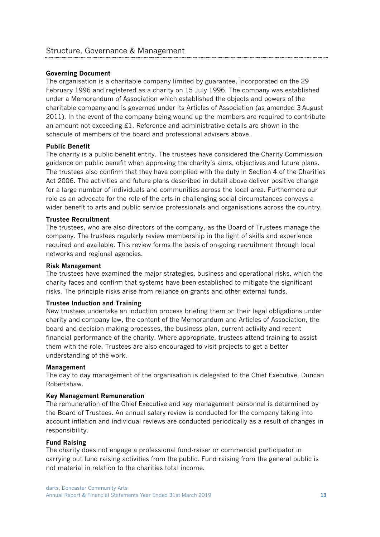#### <span id="page-12-0"></span>**Governing Document**

The organisation is a charitable company limited by guarantee, incorporated on the 29 February 1996 and registered as a charity on 15 July 1996. The company was established under a Memorandum of Association which established the objects and powers of the charitable company and is governed under its Articles of Association (as amended 3 August 2011). In the event of the company being wound up the members are required to contribute an amount not exceeding £1. Reference and administrative details are shown in the schedule of members of the board and professional advisers above.

#### **Public Benefit**

The charity is a public benefit entity. The trustees have considered the Charity Commission guidance on public benefit when approving the charity's aims, objectives and future plans. The trustees also confirm that they have complied with the duty in Section 4 of the Charities Act 2006. The activities and future plans described in detail above deliver positive change for a large number of individuals and communities across the local area. Furthermore our role as an advocate for the role of the arts in challenging social circumstances conveys a wider benefit to arts and public service professionals and organisations across the country.

#### **Trustee Recruitment**

The trustees, who are also directors of the company, as the Board of Trustees manage the company. The trustees regularly review membership in the light of skills and experience required and available. This review forms the basis of on-going recruitment through local networks and regional agencies.

#### **Risk Management**

The trustees have examined the major strategies, business and operational risks, which the charity faces and confirm that systems have been established to mitigate the significant risks. The principle risks arise from reliance on grants and other external funds.

#### **Trustee Induction and Training**

New trustees undertake an induction process briefing them on their legal obligations under charity and company law, the content of the Memorandum and Articles of Association, the board and decision making processes, the business plan, current activity and recent financial performance of the charity. Where appropriate, trustees attend training to assist them with the role. Trustees are also encouraged to visit projects to get a better understanding of the work.

#### **Management**

The day to day management of the organisation is delegated to the Chief Executive, Duncan Robertshaw.

#### **Key Management Remuneration**

The remuneration of the Chief Executive and key management personnel is determined by the Board of Trustees. An annual salary review is conducted for the company taking into account inflation and individual reviews are conducted periodically as a result of changes in responsibility.

#### **Fund Raising**

The charity does not engage a professional fund-raiser or commercial participator in carrying out fund raising activities from the public. Fund raising from the general public is not material in relation to the charities total income.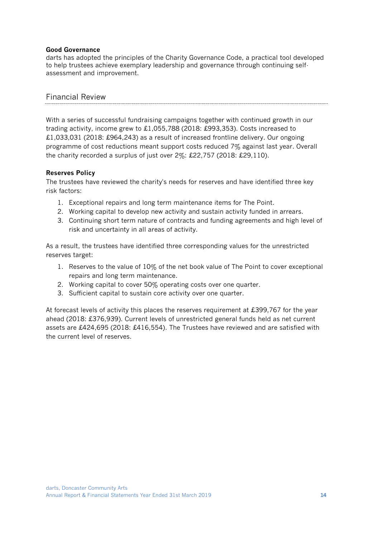#### **Good Governance**

darts has adopted the principles of the Charity Governance Code, a practical tool developed to help trustees achieve exemplary leadership and governance through continuing selfassessment and improvement.

# <span id="page-13-0"></span>Financial Review

With a series of successful fundraising campaigns together with continued growth in our trading activity, income grew to £1,055,788 (2018: £993,353). Costs increased to £1,033,031 (2018: £964,243) as a result of increased frontline delivery. Our ongoing programme of cost reductions meant support costs reduced 7% against last year. Overall the charity recorded a surplus of just over  $2\%$ : £22,757 (2018: £29,110).

# **Reserves Policy**

The trustees have reviewed the charity's needs for reserves and have identified three key risk factors:

- 1. Exceptional repairs and long term maintenance items for The Point.
- 2. Working capital to develop new activity and sustain activity funded in arrears.
- 3. Continuing short term nature of contracts and funding agreements and high level of risk and uncertainty in all areas of activity.

As a result, the trustees have identified three corresponding values for the unrestricted reserves target:

- 1. Reserves to the value of 10% of the net book value of The Point to cover exceptional repairs and long term maintenance.
- 2. Working capital to cover 50% operating costs over one quarter.
- 3. Sufficient capital to sustain core activity over one quarter.

At forecast levels of activity this places the reserves requirement at £399,767 for the year ahead (2018: £376,939). Current levels of unrestricted general funds held as net current assets are £424,695 (2018: £416,554). The Trustees have reviewed and are satisfied with the current level of reserves.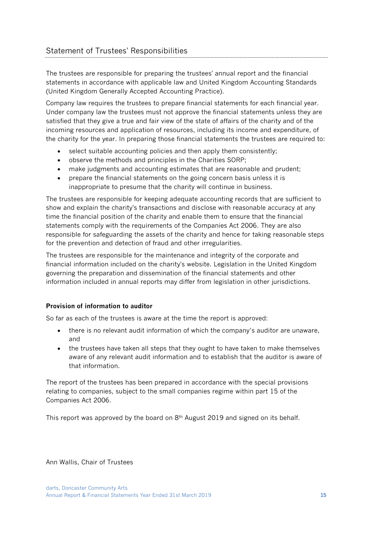<span id="page-14-0"></span>The trustees are responsible for preparing the trustees' annual report and the financial statements in accordance with applicable law and United Kingdom Accounting Standards (United Kingdom Generally Accepted Accounting Practice).

Company law requires the trustees to prepare financial statements for each financial year. Under company law the trustees must not approve the financial statements unless they are satisfied that they give a true and fair view of the state of affairs of the charity and of the incoming resources and application of resources, including its income and expenditure, of the charity for the year. In preparing those financial statements the trustees are required to:

- select suitable accounting policies and then apply them consistently;
- observe the methods and principles in the Charities SORP;
- make judgments and accounting estimates that are reasonable and prudent;
- prepare the financial statements on the going concern basis unless it is inappropriate to presume that the charity will continue in business.

The trustees are responsible for keeping adequate accounting records that are sufficient to show and explain the charity's transactions and disclose with reasonable accuracy at any time the financial position of the charity and enable them to ensure that the financial statements comply with the requirements of the Companies Act 2006. They are also responsible for safeguarding the assets of the charity and hence for taking reasonable steps for the prevention and detection of fraud and other irregularities.

The trustees are responsible for the maintenance and integrity of the corporate and financial information included on the charity's website. Legislation in the United Kingdom governing the preparation and dissemination of the financial statements and other information included in annual reports may differ from legislation in other jurisdictions.

# **Provision of information to auditor**

So far as each of the trustees is aware at the time the report is approved:

- there is no relevant audit information of which the company's auditor are unaware, and
- the trustees have taken all steps that they ought to have taken to make themselves aware of any relevant audit information and to establish that the auditor is aware of that information.

The report of the trustees has been prepared in accordance with the special provisions relating to companies, subject to the small companies regime within part 15 of the Companies Act 2006.

This report was approved by the board on 8<sup>th</sup> August 2019 and signed on its behalf.

Ann Wallis, Chair of Trustees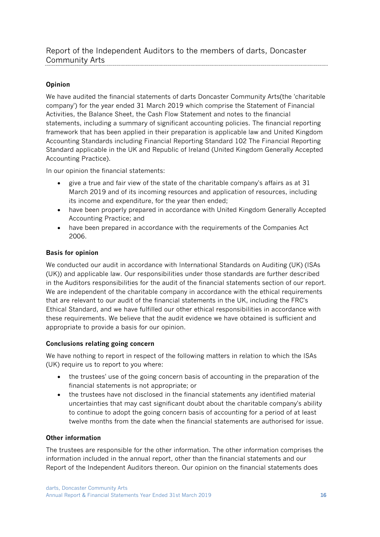# <span id="page-15-0"></span>**Opinion**

We have audited the financial statements of darts Doncaster Community Arts(the 'charitable company') for the year ended 31 March 2019 which comprise the Statement of Financial Activities, the Balance Sheet, the Cash Flow Statement and notes to the financial statements, including a summary of significant accounting policies. The financial reporting framework that has been applied in their preparation is applicable law and United Kingdom Accounting Standards including Financial Reporting Standard 102 The Financial Reporting Standard applicable in the UK and Republic of Ireland (United Kingdom Generally Accepted Accounting Practice).

In our opinion the financial statements:

- give a true and fair view of the state of the charitable company's affairs as at 31 March 2019 and of its incoming resources and application of resources, including its income and expenditure, for the year then ended;
- have been properly prepared in accordance with United Kingdom Generally Accepted Accounting Practice; and
- have been prepared in accordance with the requirements of the Companies Act 2006.

# **Basis for opinion**

We conducted our audit in accordance with International Standards on Auditing (UK) (ISAs (UK)) and applicable law. Our responsibilities under those standards are further described in the Auditors responsibilities for the audit of the financial statements section of our report. We are independent of the charitable company in accordance with the ethical requirements that are relevant to our audit of the financial statements in the UK, including the FRC's Ethical Standard, and we have fulfilled our other ethical responsibilities in accordance with these requirements. We believe that the audit evidence we have obtained is sufficient and appropriate to provide a basis for our opinion.

# **Conclusions relating going concern**

We have nothing to report in respect of the following matters in relation to which the ISAs (UK) require us to report to you where:

- the trustees' use of the going concern basis of accounting in the preparation of the financial statements is not appropriate; or
- the trustees have not disclosed in the financial statements any identified material uncertainties that may cast significant doubt about the charitable company's ability to continue to adopt the going concern basis of accounting for a period of at least twelve months from the date when the financial statements are authorised for issue.

# **Other information**

The trustees are responsible for the other information. The other information comprises the information included in the annual report, other than the financial statements and our Report of the Independent Auditors thereon. Our opinion on the financial statements does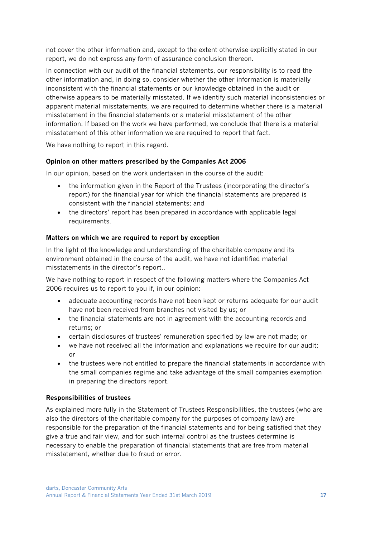not cover the other information and, except to the extent otherwise explicitly stated in our report, we do not express any form of assurance conclusion thereon.

In connection with our audit of the financial statements, our responsibility is to read the other information and, in doing so, consider whether the other information is materially inconsistent with the financial statements or our knowledge obtained in the audit or otherwise appears to be materially misstated. If we identify such material inconsistencies or apparent material misstatements, we are required to determine whether there is a material misstatement in the financial statements or a material misstatement of the other information. If based on the work we have performed, we conclude that there is a material misstatement of this other information we are required to report that fact.

We have nothing to report in this regard.

# **Opinion on other matters prescribed by the Companies Act 2006**

In our opinion, based on the work undertaken in the course of the audit:

- the information given in the Report of the Trustees (incorporating the director's report) for the financial year for which the financial statements are prepared is consistent with the financial statements; and
- the directors' report has been prepared in accordance with applicable legal requirements.

### **Matters on which we are required to report by exception**

In the light of the knowledge and understanding of the charitable company and its environment obtained in the course of the audit, we have not identified material misstatements in the director's report..

We have nothing to report in respect of the following matters where the Companies Act 2006 requires us to report to you if, in our opinion:

- adequate accounting records have not been kept or returns adequate for our audit have not been received from branches not visited by us; or
- the financial statements are not in agreement with the accounting records and returns; or
- certain disclosures of trustees' remuneration specified by law are not made; or
- we have not received all the information and explanations we require for our audit; or
- the trustees were not entitled to prepare the financial statements in accordance with the small companies regime and take advantage of the small companies exemption in preparing the directors report.

# **Responsibilities of trustees**

As explained more fully in the Statement of Trustees Responsibilities, the trustees (who are also the directors of the charitable company for the purposes of company law) are responsible for the preparation of the financial statements and for being satisfied that they give a true and fair view, and for such internal control as the trustees determine is necessary to enable the preparation of financial statements that are free from material misstatement, whether due to fraud or error.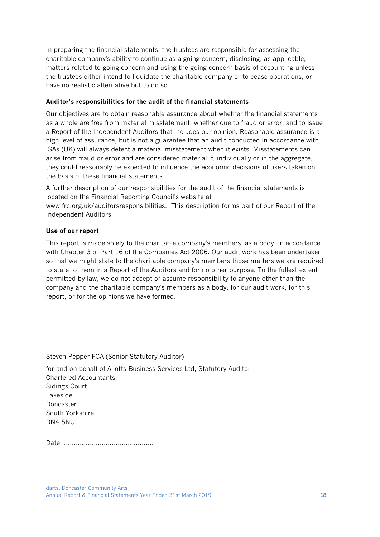In preparing the financial statements, the trustees are responsible for assessing the charitable company's ability to continue as a going concern, disclosing, as applicable, matters related to going concern and using the going concern basis of accounting unless the trustees either intend to liquidate the charitable company or to cease operations, or have no realistic alternative but to do so.

#### **Auditor's responsibilities for the audit of the financial statements**

Our objectives are to obtain reasonable assurance about whether the financial statements as a whole are free from material misstatement, whether due to fraud or error, and to issue a Report of the Independent Auditors that includes our opinion. Reasonable assurance is a high level of assurance, but is not a guarantee that an audit conducted in accordance with ISAs (UK) will always detect a material misstatement when it exists. Misstatements can arise from fraud or error and are considered material if, individually or in the aggregate, they could reasonably be expected to influence the economic decisions of users taken on the basis of these financial statements.

A further description of our responsibilities for the audit of the financial statements is located on the Financial Reporting Council's website at

www.frc.org.uk/auditorsresponsibilities. This description forms part of our Report of the Independent Auditors.

### **Use of our report**

This report is made solely to the charitable company's members, as a body, in accordance with Chapter 3 of Part 16 of the Companies Act 2006. Our audit work has been undertaken so that we might state to the charitable company's members those matters we are required to state to them in a Report of the Auditors and for no other purpose. To the fullest extent permitted by law, we do not accept or assume responsibility to anyone other than the company and the charitable company's members as a body, for our audit work, for this report, or for the opinions we have formed.

Steven Pepper FCA (Senior Statutory Auditor)

for and on behalf of Allotts Business Services Ltd, Statutory Auditor Chartered Accountants Sidings Court Lakeside Doncaster South Yorkshire DN4 5NU

Date: .............................................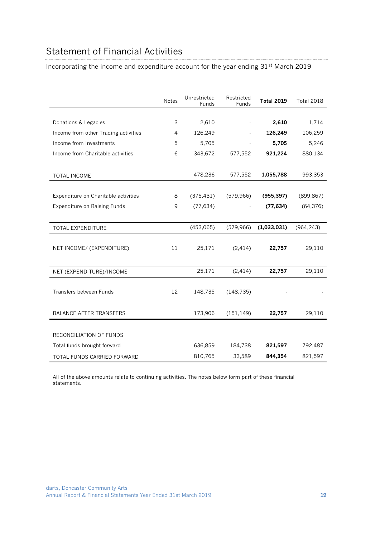# <span id="page-18-0"></span>Statement of Financial Activities

Incorporating the income and expenditure account for the year ending 31st March 2019

|                                      | <b>Notes</b> | Unrestricted<br><b>Funds</b> | Restricted<br>Funds | <b>Total 2019</b> | <b>Total 2018</b> |
|--------------------------------------|--------------|------------------------------|---------------------|-------------------|-------------------|
|                                      |              |                              |                     |                   |                   |
| Donations & Legacies                 | 3            | 2,610                        |                     | 2,610             | 1,714             |
| Income from other Trading activities | 4            | 126,249                      |                     | 126,249           | 106,259           |
| Income from Investments              | 5            | 5,705                        |                     | 5,705             | 5,246             |
| Income from Charitable activities    | 6            | 343,672                      | 577,552             | 921,224           | 880,134           |
|                                      |              |                              |                     |                   |                   |
| TOTAL INCOME                         |              | 478,236                      | 577,552             | 1,055,788         | 993,353           |
|                                      |              |                              |                     |                   |                   |
| Expenditure on Charitable activities | 8            | (375, 431)                   | (579, 966)          | (955, 397)        | (899, 867)        |
| Expenditure on Raising Funds         | 9            | (77, 634)                    |                     | (77, 634)         | (64, 376)         |
|                                      |              |                              |                     |                   |                   |
| TOTAL EXPENDITURE                    |              | (453,065)                    | (579, 966)          | (1,033,031)       | (964, 243)        |
|                                      |              |                              |                     |                   |                   |
| NET INCOME/ (EXPENDITURE)            | 11           | 25,171                       | (2, 414)            | 22,757            | 29,110            |
|                                      |              |                              |                     |                   |                   |
| NET (EXPENDITURE)/INCOME             |              | 25,171                       | (2, 414)            | 22,757            | 29,110            |
|                                      |              |                              |                     |                   |                   |
| Transfers between Funds              | 12           | 148,735                      | (148, 735)          |                   |                   |
|                                      |              |                              |                     |                   |                   |
| <b>BALANCE AFTER TRANSFERS</b>       |              | 173,906                      | (151, 149)          | 22,757            | 29,110            |
|                                      |              |                              |                     |                   |                   |
| RECONCILIATION OF FUNDS              |              |                              |                     |                   |                   |
| Total funds brought forward          |              | 636,859                      | 184,738             | 821,597           | 792,487           |
| TOTAL FUNDS CARRIED FORWARD          |              | 810,765                      | 33,589              | 844,354           | 821,597           |

All of the above amounts relate to continuing activities. The notes below form part of these financial statements.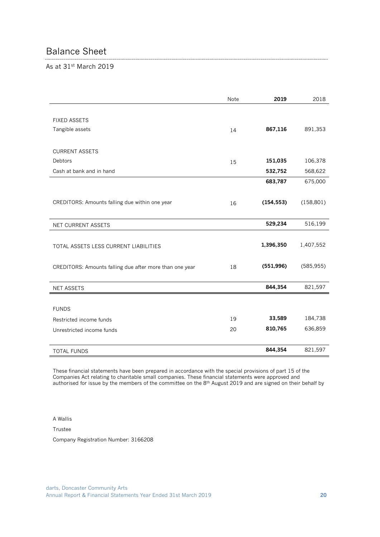# <span id="page-19-0"></span>Balance Sheet

As at 31st March 2019

|                                                         | Note | 2019       | 2018       |
|---------------------------------------------------------|------|------------|------------|
| <b>FIXED ASSETS</b><br>Tangible assets                  | 14   | 867,116    | 891,353    |
|                                                         |      |            |            |
| <b>CURRENT ASSETS</b>                                   |      |            |            |
| Debtors                                                 | 15   | 151,035    | 106,378    |
| Cash at bank and in hand                                |      | 532,752    | 568,622    |
|                                                         |      | 683,787    | 675,000    |
| CREDITORS: Amounts falling due within one year          | 16   | (154, 553) | (158, 801) |
| NET CURRENT ASSETS                                      |      | 529,234    | 516,199    |
| TOTAL ASSETS LESS CURRENT LIABILITIES                   |      | 1,396,350  | 1,407,552  |
| CREDITORS: Amounts falling due after more than one year | 18   | (551, 996) | (585, 955) |
| <b>NET ASSETS</b>                                       |      | 844,354    | 821,597    |
|                                                         |      |            |            |
| <b>FUNDS</b>                                            |      |            |            |
| Restricted income funds                                 | 19   | 33,589     | 184,738    |
| Unrestricted income funds                               | 20   | 810,765    | 636,859    |
|                                                         |      |            |            |
| <b>TOTAL FUNDS</b>                                      |      | 844,354    | 821,597    |

These financial statements have been prepared in accordance with the special provisions of part 15 of the Companies Act relating to charitable small companies. These financial statements were approved and authorised for issue by the members of the committee on the 8<sup>th</sup> August 2019 and are signed on their behalf by

A Wallis

Trustee

Company Registration Number: 3166208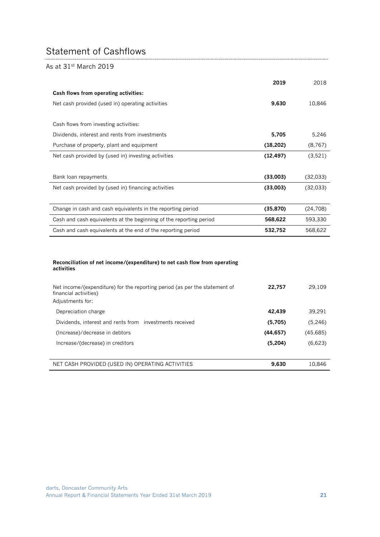# <span id="page-20-0"></span>Statement of Cashflows

### As at 31st March 2019

|                                                                    | 2019      | 2018     |
|--------------------------------------------------------------------|-----------|----------|
| Cash flows from operating activities:                              |           |          |
| Net cash provided (used in) operating activities                   | 9,630     | 10,846   |
|                                                                    |           |          |
| Cash flows from investing activities:                              |           |          |
| Dividends, interest and rents from investments                     | 5,705     | 5,246    |
| Purchase of property, plant and equipment                          | (18, 202) | (8, 767) |
| Net cash provided by (used in) investing activities                | (12, 497) | (3,521)  |
|                                                                    |           |          |
| Bank loan repayments                                               | (33,003)  | (32,033) |
| Net cash provided by (used in) financing activities                | (33,003)  | (32,033) |
|                                                                    |           |          |
| Change in cash and cash equivalents in the reporting period        | (35, 870) | (24,708) |
| Cash and cash equivalents at the beginning of the reporting period | 568,622   | 593,330  |
| Cash and cash equivalents at the end of the reporting period       | 532,752   | 568,622  |

#### **Reconciliation of net income/(expenditure) to net cash flow from operating activities**

| Net income/(expenditure) for the reporting period (as per the statement of<br>financial activities)<br>Adjustments for: | 22,757   | 29.109   |
|-------------------------------------------------------------------------------------------------------------------------|----------|----------|
| Depreciation charge                                                                                                     | 42.439   | 39.291   |
| Dividends, interest and rents from investments received                                                                 | (5,705)  | (5,246)  |
| (Increase)/decrease in debtors                                                                                          | (44.657) | (45,685) |
| Increase/(decrease) in creditors                                                                                        | (5,204)  | (6,623)  |
|                                                                                                                         |          |          |
| NET CASH PROVIDED (USED IN) OPERATING ACTIVITIES                                                                        | 9.630    | 10.846   |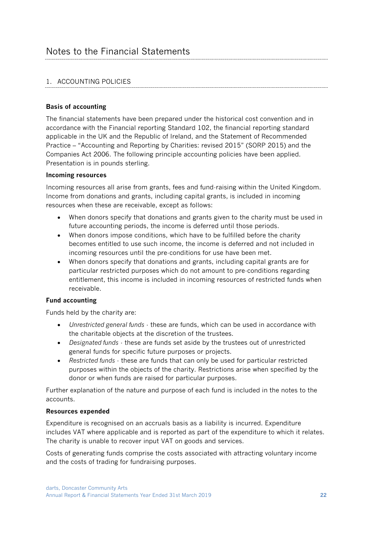# <span id="page-21-0"></span>1. ACCOUNTING POLICIES

### **Basis of accounting**

The financial statements have been prepared under the historical cost convention and in accordance with the Financial reporting Standard 102, the financial reporting standard applicable in the UK and the Republic of Ireland, and the Statement of Recommended Practice – "Accounting and Reporting by Charities: revised 2015" (SORP 2015) and the Companies Act 2006. The following principle accounting policies have been applied. Presentation is in pounds sterling.

#### **Incoming resources**

Incoming resources all arise from grants, fees and fund-raising within the United Kingdom. Income from donations and grants, including capital grants, is included in incoming resources when these are receivable, except as follows:

- When donors specify that donations and grants given to the charity must be used in future accounting periods, the income is deferred until those periods.
- When donors impose conditions, which have to be fulfilled before the charity becomes entitled to use such income, the income is deferred and not included in incoming resources until the pre-conditions for use have been met.
- When donors specify that donations and grants, including capital grants are for particular restricted purposes which do not amount to pre-conditions regarding entitlement, this income is included in incoming resources of restricted funds when receivable.

# **Fund accounting**

Funds held by the charity are:

- *Unrestricted general funds* these are funds, which can be used in accordance with the charitable objects at the discretion of the trustees.
- *Designated funds* these are funds set aside by the trustees out of unrestricted general funds for specific future purposes or projects.
- *Restricted funds* these are funds that can only be used for particular restricted purposes within the objects of the charity. Restrictions arise when specified by the donor or when funds are raised for particular purposes.

Further explanation of the nature and purpose of each fund is included in the notes to the accounts.

#### **Resources expended**

Expenditure is recognised on an accruals basis as a liability is incurred. Expenditure includes VAT where applicable and is reported as part of the expenditure to which it relates. The charity is unable to recover input VAT on goods and services.

Costs of generating funds comprise the costs associated with attracting voluntary income and the costs of trading for fundraising purposes.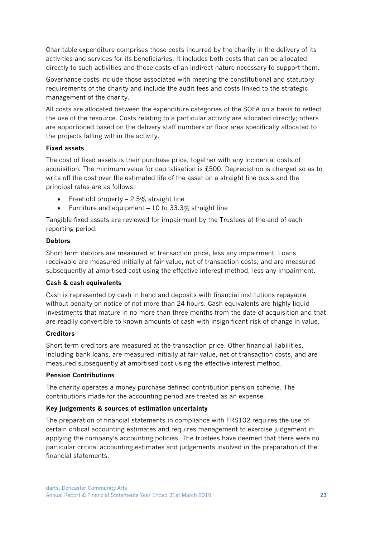Charitable expenditure comprises those costs incurred by the charity in the delivery of its activities and services for its beneficiaries. It includes both costs that can be allocated directly to such activities and those costs of an indirect nature necessary to support them.

Governance costs include those associated with meeting the constitutional and statutory requirements of the charity and include the audit fees and costs linked to the strategic management of the charity.

All costs are allocated between the expenditure categories of the SOFA on a basis to reflect the use of the resource. Costs relating to a particular activity are allocated directly; others are apportioned based on the delivery staff numbers or floor area specifically allocated to the projects falling within the activity.

#### **Fixed assets**

The cost of fixed assets is their purchase price, together with any incidental costs of acquisition. The minimum value for capitalisation is £500. Depreciation is charged so as to write off the cost over the estimated life of the asset on a straight line basis and the principal rates are as follows:

- Freehold property  $-2.5\%$  straight line
- Furniture and equipment  $-10$  to 33.3% straight line

Tangible fixed assets are reviewed for impairment by the Trustees at the end of each reporting period.

# **Debtors**

Short term debtors are measured at transaction price, less any impairment. Loans receivable are measured initially at fair value, net of transaction costs, and are measured subsequently at amortised cost using the effective interest method, less any impairment.

# **Cash & cash equivalents**

Cash is represented by cash in hand and deposits with financial institutions repayable without penalty on notice of not more than 24 hours. Cash equivalents are highly liquid investments that mature in no more than three months from the date of acquisition and that are readily convertible to known amounts of cash with insignificant risk of change in value.

# **Creditors**

Short term creditors are measured at the transaction price. Other financial liabilities, including bank loans, are measured initially at fair value, net of transaction costs, and are measured subsequently at amortised cost using the effective interest method.

# **Pension Contributions**

The charity operates a money purchase defined contribution pension scheme. The contributions made for the accounting period are treated as an expense.

# **Key judgements & sources of estimation uncertainty**

The preparation of financial statements in compliance with FRS102 requires the use of certain critical accounting estimates and requires management to exercise judgement in applying the company's accounting policies. The trustees have deemed that there were no particular critical accounting estimates and judgements involved in the preparation of the financial statements.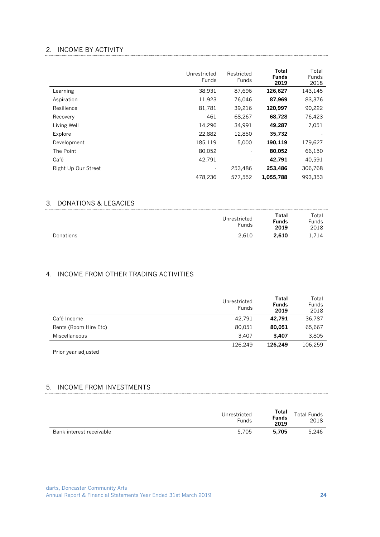## 2. INCOME BY ACTIVITY

|                     | Unrestricted<br>Funds | Restricted<br><b>Funds</b> | Total<br><b>Funds</b><br>2019 | Total<br><b>Funds</b><br>2018 |
|---------------------|-----------------------|----------------------------|-------------------------------|-------------------------------|
| Learning            | 38,931                | 87,696                     | 126,627                       | 143,145                       |
| Aspiration          | 11,923                | 76,046                     | 87,969                        | 83,376                        |
| Resilience          | 81,781                | 39,216                     | 120,997                       | 90,222                        |
| Recovery            | 461                   | 68,267                     | 68,728                        | 76,423                        |
| Living Well         | 14,296                | 34,991                     | 49,287                        | 7,051                         |
| Explore             | 22,882                | 12,850                     | 35,732                        |                               |
| Development         | 185,119               | 5,000                      | 190,119                       | 179,627                       |
| The Point           | 80,052                | $\blacksquare$             | 80,052                        | 66,150                        |
| Café                | 42,791                | $\blacksquare$             | 42.791                        | 40,591                        |
| Right Up Our Street |                       | 253,486                    | 253,486                       | 306,768                       |
|                     | 478.236               | 577.552                    | 1,055,788                     | 993.353                       |

### 3. DONATIONS & LEGACIES

|           | Unrestricted<br><b>Funds</b> | Total<br><b>Funds</b><br>2019 | Total<br><b>Funds</b><br>2018 |
|-----------|------------------------------|-------------------------------|-------------------------------|
| Donations | 2.610                        | 2,610                         | 1,714                         |

# 4. INCOME FROM OTHER TRADING ACTIVITIES

|                       | Unrestricted<br><b>Funds</b> | Total<br><b>Funds</b><br>2019 | Total<br><b>Funds</b><br>2018 |
|-----------------------|------------------------------|-------------------------------|-------------------------------|
| Café Income           | 42.791                       | 42.791                        | 36,787                        |
| Rents (Room Hire Etc) | 80,051                       | 80,051                        | 65,667                        |
| Miscellaneous         | 3.407                        | 3.407                         | 3,805                         |
|                       | 126.249                      | 126.249                       | 106,259                       |

Prior year adjusted

# 5. INCOME FROM INVESTMENTS

|                          | Unrestricted<br><b>Funds</b> | Total<br><b>Funds</b><br>2019 | <b>Total Funds</b><br>2018 |
|--------------------------|------------------------------|-------------------------------|----------------------------|
| Bank interest receivable | 5.705                        | 5.705                         | 5.246                      |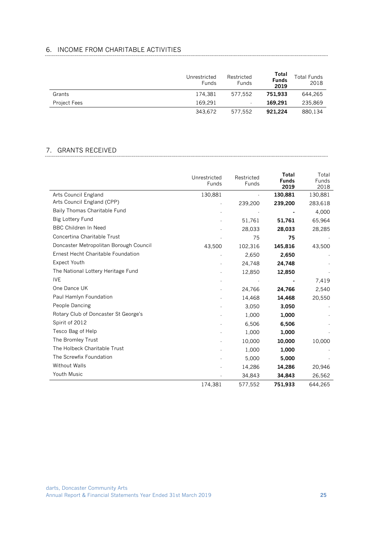# 6. INCOME FROM CHARITABLE ACTIVITIES

|                     | Unrestricted<br>Funds | Restricted<br>Funds | Total<br><b>Funds</b><br>2019 | <b>Total Funds</b><br>2018 |
|---------------------|-----------------------|---------------------|-------------------------------|----------------------------|
| Grants              | 174.381               | 577.552             | 751.933                       | 644.265                    |
| <b>Project Fees</b> | 169.291               | ٠                   | 169.291                       | 235.869                    |
|                     | 343.672               | 577.552             | 921.224                       | 880.134                    |

# 7. GRANTS RECEIVED

|                                        | Unrestricted<br><b>Funds</b> | Restricted<br>Funds | Total<br><b>Funds</b><br>2019 | Total<br>Funds<br>2018 |
|----------------------------------------|------------------------------|---------------------|-------------------------------|------------------------|
| Arts Council England                   | 130,881                      |                     | 130,881                       | 130,881                |
| Arts Council England (CPP)             |                              | 239,200             | 239,200                       | 283,618                |
| Baily Thomas Charitable Fund           |                              |                     |                               | 4,000                  |
| Big Lottery Fund                       |                              | 51,761              | 51,761                        | 65,964                 |
| <b>BBC Children In Need</b>            |                              | 28,033              | 28,033                        | 28,285                 |
| Concertina Charitable Trust            |                              | 75                  | 75                            |                        |
| Doncaster Metropolitan Borough Council | 43,500                       | 102,316             | 145,816                       | 43,500                 |
| Ernest Hecht Charitable Foundation     |                              | 2,650               | 2,650                         |                        |
| <b>Expect Youth</b>                    |                              | 24,748              | 24,748                        |                        |
| The National Lottery Heritage Fund     |                              | 12,850              | 12,850                        |                        |
| <b>IVE</b>                             |                              |                     |                               | 7,419                  |
| One Dance UK                           |                              | 24,766              | 24,766                        | 2,540                  |
| Paul Hamlyn Foundation                 |                              | 14,468              | 14,468                        | 20,550                 |
| People Dancing                         |                              | 3,050               | 3,050                         |                        |
| Rotary Club of Doncaster St George's   |                              | 1,000               | 1,000                         |                        |
| Spirit of 2012                         |                              | 6,506               | 6,506                         |                        |
| Tesco Bag of Help                      |                              | 1,000               | 1,000                         |                        |
| The Bromley Trust                      |                              | 10,000              | 10,000                        | 10,000                 |
| The Holbeck Charitable Trust           |                              | 1,000               | 1,000                         |                        |
| The Screwfix Foundation                |                              | 5,000               | 5,000                         |                        |
| <b>Without Walls</b>                   |                              | 14,286              | 14,286                        | 20,946                 |
| Youth Music                            |                              | 34,843              | 34,843                        | 26,562                 |
|                                        | 174,381                      | 577,552             | 751,933                       | 644,265                |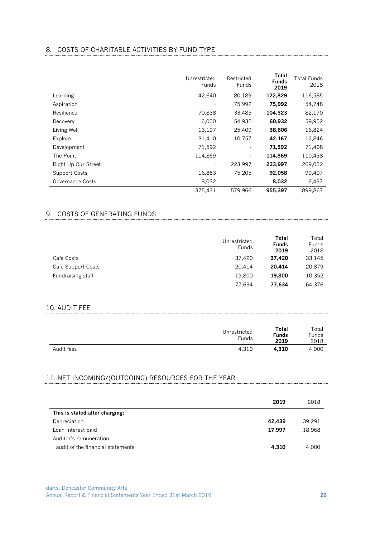# 8. COSTS OF CHARITABLE ACTIVITIES BY FUND TYPE

|                      | Unrestricted<br><b>Funds</b> | Restricted<br>Funds | Total<br><b>Funds</b><br>2019 | Total Funds<br>2018 |
|----------------------|------------------------------|---------------------|-------------------------------|---------------------|
| Learning             | 42,640                       | 80.189              | 122.829                       | 116,585             |
| Aspiration           |                              | 75,992              | 75,992                        | 54,748              |
| Resilience           | 70,838                       | 33,485              | 104,323                       | 82,170              |
| Recovery             | 6,000                        | 54,932              | 60,932                        | 59,952              |
| Living Well          | 13,197                       | 25,409              | 38,606                        | 16,824              |
| Explore              | 31,410                       | 10,757              | 42,167                        | 12,846              |
| Development          | 71,592                       |                     | 71,592                        | 71,408              |
| The Point            | 114,869                      | $\blacksquare$      | 114,869                       | 110,438             |
| Right Up Our Street  |                              | 223,997             | 223,997                       | 269,052             |
| <b>Support Costs</b> | 16,853                       | 75,205              | 92,058                        | 99.407              |
| Governance Costs     | 8,032                        |                     | 8,032                         | 6,437               |
|                      | 375,431                      | 579.966             | 955,397                       | 899,867             |

# 9. COSTS OF GENERATING FUNDS

|                    | Unrestricted<br><b>Funds</b> | Total<br><b>Funds</b><br>2019 | Total<br><b>Funds</b><br>2018 |
|--------------------|------------------------------|-------------------------------|-------------------------------|
| Cafe Costs         | 37.420                       | 37.420                        | 33,145                        |
| Café Support Costs | 20.414                       | 20.414                        | 20,879                        |
| Fundraising staff  | 19.800                       | 19,800                        | 10,352                        |
|                    | 77.634                       | 77.634                        | 64.376                        |

#### 10. AUDIT FEE

|            | Unrestricted<br><b>Funds</b> | Total<br>Funds<br>2019 | Total<br>Funds<br>2018 |
|------------|------------------------------|------------------------|------------------------|
| Audit fees | 4,310                        | 4.310                  | 4.000                  |

#### 11. NET INCOMING/(OUTGOING) RESOURCES FOR THE YEAR

|                                   | 2019   | 2018   |
|-----------------------------------|--------|--------|
| This is stated after charging:    |        |        |
| Depreciation                      | 42.439 | 39.291 |
| Loan Interest paid                | 17,997 | 18,968 |
| Auditor's remuneration:           |        |        |
| audit of the financial statements | 4,310  | 4.000  |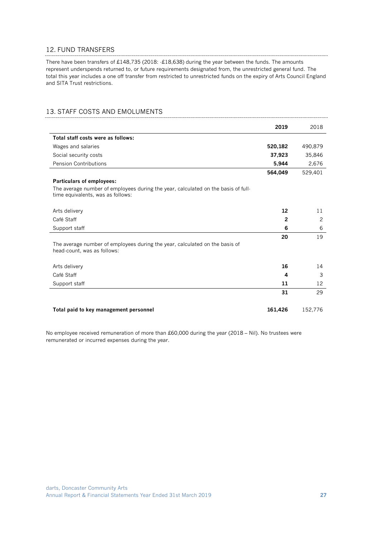#### 12. FUND TRANSFERS

There have been transfers of £148,735 (2018: -£18,638) during the year between the funds. The amounts represent underspends returned to, or future requirements designated from, the unrestricted general fund. The total this year includes a one off transfer from restricted to unrestricted funds on the expiry of Arts Council England and SITA Trust restrictions.

#### 13. STAFF COSTS AND EMOLUMENTS

|                                                                                                                        | 2019         | 2018    |
|------------------------------------------------------------------------------------------------------------------------|--------------|---------|
| Total staff costs were as follows:                                                                                     |              |         |
| Wages and salaries                                                                                                     | 520,182      | 490,879 |
| Social security costs                                                                                                  | 37,923       | 35,846  |
| Pension Contributions                                                                                                  | 5,944        | 2,676   |
|                                                                                                                        | 564,049      | 529,401 |
| <b>Particulars of employees:</b>                                                                                       |              |         |
| The average number of employees during the year, calculated on the basis of full-<br>time equivalents, was as follows: |              |         |
| Arts delivery                                                                                                          | 12           | 11      |
| Café Staff                                                                                                             | $\mathbf{2}$ | 2       |
| Support staff                                                                                                          | 6            | 6       |
|                                                                                                                        | 20           | 19      |
| The average number of employees during the year, calculated on the basis of<br>head-count, was as follows:             |              |         |
| Arts delivery                                                                                                          | 16           | 14      |
| Café Staff                                                                                                             | 4            | 3       |
| Support staff                                                                                                          | 11           | 12      |
|                                                                                                                        | 31           | 29      |
| Total paid to key management personnel                                                                                 | 161,426      | 152,776 |

No employee received remuneration of more than £60,000 during the year (2018 – Nil). No trustees were remunerated or incurred expenses during the year.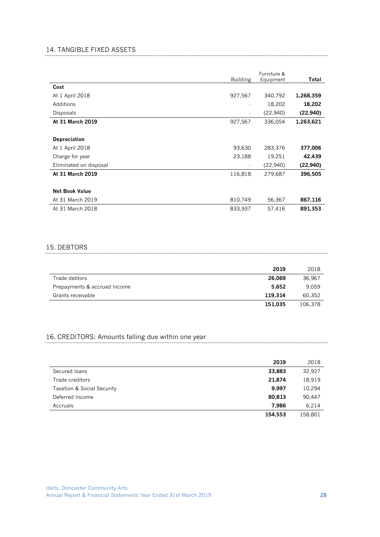### 14. TANGIBLE FIXED ASSETS

|                        | <b>Building</b>          | Furniture &<br>Equipment | Total     |
|------------------------|--------------------------|--------------------------|-----------|
| Cost                   |                          |                          |           |
| At 1 April 2018        | 927,567                  | 340,792                  | 1,268,359 |
| Additions              | $\overline{\phantom{a}}$ | 18,202                   | 18,202    |
| Disposals              | $\blacksquare$           | (22,940)                 | (22, 940) |
| At 31 March 2019       | 927,567                  | 336,054                  | 1,263,621 |
|                        |                          |                          |           |
| <b>Depreciation</b>    |                          |                          |           |
| At 1 April 2018        | 93,630                   | 283,376                  | 377,006   |
| Charge for year        | 23,188                   | 19,251                   | 42,439    |
| Eliminated on disposal | $\blacksquare$           | (22,940)                 | (22, 940) |
| At 31 March 2019       | 116,818                  | 279,687                  | 396,505   |
|                        |                          |                          |           |
| <b>Net Book Value</b>  |                          |                          |           |
| At 31 March 2019       | 810,749                  | 56,367                   | 867,116   |
| At 31 March 2018       | 833,937                  | 57,416                   | 891,353   |

#### 15. DEBTORS

|                              | 2019    | 2018    |
|------------------------------|---------|---------|
| Trade debtors                | 26.069  | 36.967  |
| Prepayments & accrued Income | 5.652   | 9.059   |
| Grants receivable            | 119.314 | 60.352  |
|                              | 151.035 | 106.378 |

# 16. CREDITORS: Amounts falling due within one year

|                            | 2019    | 2018    |
|----------------------------|---------|---------|
| Secured Joans              | 33,883  | 32,927  |
| Trade creditors            | 21,874  | 18,919  |
| Taxation & Social Security | 9,997   | 10.294  |
| Deferred Income            | 80,813  | 90,447  |
| Accruals                   | 7.986   | 6,214   |
|                            | 154.553 | 158.801 |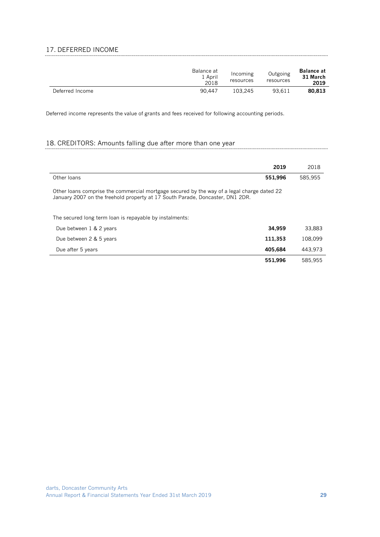### 17. DEFERRED INCOME

|                 | Balance at<br>1 April<br>2018 | Incoming<br>resources | Outgoing<br>resources | <b>Balance at</b><br>31 March<br>2019 |
|-----------------|-------------------------------|-----------------------|-----------------------|---------------------------------------|
| Deferred Income | 90.447                        | 103.245               | 93.611                | 80.813                                |

Deferred income represents the value of grants and fees received for following accounting periods.

### 18. CREDITORS: Amounts falling due after more than one year

|                                                                                                                                                                             | 2019    | 2018    |
|-----------------------------------------------------------------------------------------------------------------------------------------------------------------------------|---------|---------|
| Other loans                                                                                                                                                                 | 551.996 | 585.955 |
| Other loans comprise the commercial mortgage secured by the way of a legal charge dated 22<br>January 2007 on the freehold property at 17 South Parade, Doncaster, DN1 2DR. |         |         |
| The secured long term loan is repayable by instalments:                                                                                                                     |         |         |
| Due between 1 & 2 years                                                                                                                                                     | 34.959  | 33.883  |
| Due between 2 & 5 years                                                                                                                                                     | 111.353 | 108.099 |
| Due after 5 years                                                                                                                                                           | 405.684 | 443.973 |

**551,996** 585,955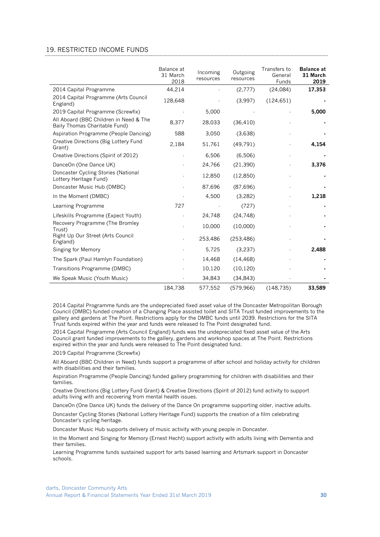#### 19. RESTRICTED INCOME FUNDS

|                                                                         | Balance at<br>31 March<br>2018 | Incoming<br>resources | Outgoing<br>resources | Transfers to<br>General<br><b>Funds</b> | <b>Balance at</b><br>31 March<br>2019 |
|-------------------------------------------------------------------------|--------------------------------|-----------------------|-----------------------|-----------------------------------------|---------------------------------------|
| 2014 Capital Programme                                                  | 44,214                         |                       | (2,777)               | (24,084)                                | 17,353                                |
| 2014 Capital Programme (Arts Council<br>England)                        | 128,648                        |                       | (3,997)               | (124, 651)                              |                                       |
| 2019 Capital Programme (Screwfix)                                       |                                | 5,000                 |                       |                                         | 5,000                                 |
| All Aboard (BBC Children in Need & The<br>Baily Thomas Charitable Fund) | 8,377                          | 28,033                | (36, 410)             |                                         |                                       |
| Aspiration Programme (People Dancing)                                   | 588                            | 3,050                 | (3,638)               |                                         |                                       |
| Creative Directions (Big Lottery Fund<br>Grant)                         | 2,184                          | 51,761                | (49, 791)             |                                         | 4,154                                 |
| Creative Directions (Spirit of 2012)                                    |                                | 6,506                 | (6.506)               |                                         |                                       |
| DanceOn (One Dance UK)                                                  |                                | 24,766                | (21, 390)             |                                         | 3,376                                 |
| Doncaster Cycling Stories (National<br>Lottery Heritage Fund)           |                                | 12,850                | (12, 850)             |                                         |                                       |
| Doncaster Music Hub (DMBC)                                              |                                | 87,696                | (87,696)              |                                         |                                       |
| In the Moment (DMBC)                                                    |                                | 4,500                 | (3,282)               |                                         | 1,218                                 |
| Learning Programme                                                      | 727                            |                       | (727)                 |                                         |                                       |
| Lifeskills Programme (Expect Youth)                                     |                                | 24,748                | (24, 748)             |                                         |                                       |
| Recovery Programme (The Bromley<br>Trust)                               |                                | 10,000                | (10,000)              |                                         |                                       |
| Right Up Our Street (Arts Council<br>England)                           |                                | 253,486               | (253, 486)            |                                         |                                       |
| Singing for Memory                                                      |                                | 5,725                 | (3,237)               |                                         | 2.488                                 |
| The Spark (Paul Hamlyn Foundation)                                      |                                | 14,468                | (14, 468)             |                                         |                                       |
| Transitions Programme (DMBC)                                            |                                | 10,120                | (10, 120)             |                                         |                                       |
| We Speak Music (Youth Music)                                            |                                | 34,843                | (34, 843)             |                                         |                                       |
|                                                                         | 184,738                        | 577,552               | (579, 966)            | (148, 735)                              | 33,589                                |

2014 Capital Programme funds are the undepreciated fixed asset value of the Doncaster Metropolitan Borough Council (DMBC) funded creation of a Changing Place assisted toilet and SITA Trust funded improvements to the gallery and gardens at The Point. Restrictions apply for the DMBC funds until 2039. Restrictions for the SITA Trust funds expired within the year and funds were released to The Point designated fund.

2014 Capital Programme (Arts Council England) funds was the undepreciated fixed asset value of the Arts Council grant funded improvements to the gallery, gardens and workshop spaces at The Point. Restrictions expired within the year and funds were released to The Point designated fund.

2019 Capital Programme (Screwfix)

All Aboard (BBC Children in Need) funds support a programme of after school and holiday activity for children with disabilities and their families.

Aspiration Programme (People Dancing) funded gallery programming for children with disabilities and their families.

Creative Directions (Big Lottery Fund Grant) & Creative Directions (Spirit of 2012) fund activity to support adults living with and recovering from mental health issues.

DanceOn (One Dance UK) funds the delivery of the Dance On programme supporting older, inactive adults.

Doncaster Cycling Stories (National Lottery Heritage Fund) supports the creation of a film celebrating Doncaster's cycling heritage.

Doncaster Music Hub supports delivery of music activity with young people in Doncaster.

In the Moment and Singing for Memory (Ernest Hecht) support activity with adults living with Dementia and their families.

Learning Programme funds sustained support for arts based learning and Artsmark support in Doncaster schools.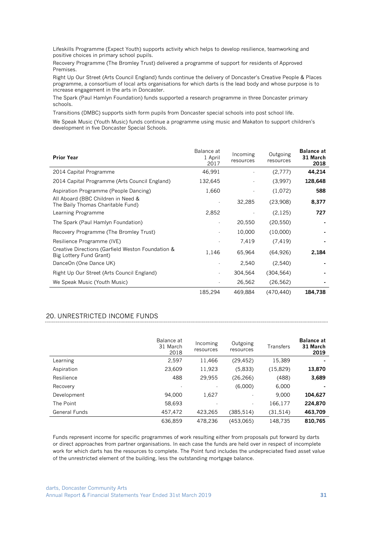Lifeskills Programme (Expect Youth) supports activity which helps to develop resilience, teamworking and positive choices in primary school pupils.

Recovery Programme (The Bromley Trust) delivered a programme of support for residents of Approved Premises.

Right Up Our Street (Arts Council England) funds continue the delivery of Doncaster's Creative People & Places programme, a consortium of local arts organisations for which darts is the lead body and whose purpose is to increase engagement in the arts in Doncaster.

The Spark (Paul Hamlyn Foundation) funds supported a research programme in three Doncaster primary schools.

Transitions (DMBC) supports sixth form pupils from Doncaster special schools into post school life.

We Speak Music (Youth Music) funds continue a programme using music and Makaton to support children's development in five Doncaster Special Schools.

| <b>Prior Year</b>                                                            | Balance at<br>1 April<br>2017 | Incoming<br>resources | Outgoing<br>resources | <b>Balance at</b><br>31 March<br>2018 |
|------------------------------------------------------------------------------|-------------------------------|-----------------------|-----------------------|---------------------------------------|
| 2014 Capital Programme                                                       | 46,991                        |                       | (2,777)               | 44,214                                |
| 2014 Capital Programme (Arts Council England)                                | 132,645                       |                       | (3.997)               | 128,648                               |
| Aspiration Programme (People Dancing)                                        | 1,660                         |                       | (1,072)               | 588                                   |
| All Aboard (BBC Children in Need &<br>The Baily Thomas Charitable Fund)      |                               | 32,285                | (23,908)              | 8,377                                 |
| Learning Programme                                                           | 2,852                         |                       | (2, 125)              | 727                                   |
| The Spark (Paul Hamlyn Foundation)                                           |                               | 20,550                | (20, 550)             |                                       |
| Recovery Programme (The Bromley Trust)                                       |                               | 10,000                | (10,000)              |                                       |
| Resilience Programme (IVE)                                                   |                               | 7,419                 | (7, 419)              |                                       |
| Creative Directions (Garfield Weston Foundation &<br>Big Lottery Fund Grant) | 1,146                         | 65,964                | (64, 926)             | 2,184                                 |
| DanceOn (One Dance UK)                                                       |                               | 2,540                 | (2,540)               |                                       |
| Right Up Our Street (Arts Council England)                                   |                               | 304,564               | (304, 564)            |                                       |
| We Speak Music (Youth Music)                                                 |                               | 26,562                | (26, 562)             |                                       |
|                                                                              | 185,294                       | 469,884               | (470,440)             | 184,738                               |

#### 20. UNRESTRICTED INCOME FUNDS

|                      | Balance at<br>31 March<br>2018 | Incoming<br>resources | Outgoing<br>resources | Transfers | <b>Balance at</b><br>31 March<br>2019 |
|----------------------|--------------------------------|-----------------------|-----------------------|-----------|---------------------------------------|
| Learning             | 2,597                          | 11,466                | (29, 452)             | 15,389    |                                       |
| Aspiration           | 23,609                         | 11,923                | (5.833)               | (15,829)  | 13,870                                |
| Resilience           | 488                            | 29,955                | (26, 266)             | (488)     | 3,689                                 |
| Recovery             |                                |                       | (6.000)               | 6,000     |                                       |
| Development          | 94.000                         | 1,627                 | $\blacksquare$        | 9.000     | 104,627                               |
| The Point            | 58,693                         |                       | $\blacksquare$        | 166,177   | 224,870                               |
| <b>General Funds</b> | 457,472                        | 423,265               | (385,514)             | (31,514)  | 463,709                               |
|                      | 636,859                        | 478.236               | (453,065)             | 148.735   | 810.765                               |

Funds represent income for specific programmes of work resulting either from proposals put forward by darts or direct approaches from partner organisations. In each case the funds are held over in respect of incomplete work for which darts has the resources to complete. The Point fund includes the undepreciated fixed asset value of the unrestricted element of the building, less the outstanding mortgage balance.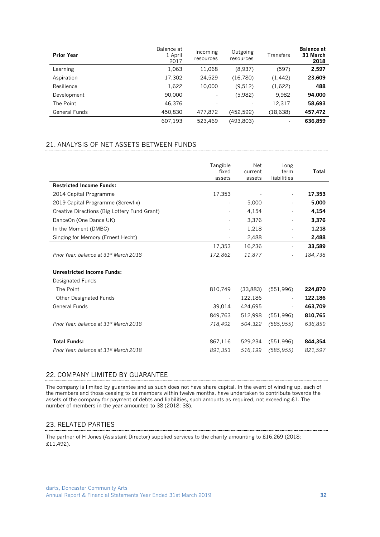| <b>Prior Year</b> | Balance at<br>1 April<br>2017 | Incoming<br>resources | Outgoing<br>resources | Transfers      | <b>Balance at</b><br>31 March<br>2018 |
|-------------------|-------------------------------|-----------------------|-----------------------|----------------|---------------------------------------|
| Learning          | 1,063                         | 11,068                | (8.937)               | (597)          | 2,597                                 |
| Aspiration        | 17,302                        | 24,529                | (16,780)              | (1, 442)       | 23,609                                |
| Resilience        | 1,622                         | 10,000                | (9.512)               | (1,622)        | 488                                   |
| Development       | 90,000                        | ٠                     | (5,982)               | 9.982          | 94,000                                |
| The Point         | 46.376                        | ۰.                    | ٠                     | 12,317         | 58,693                                |
| General Funds     | 450.830                       | 477.872               | (452,592)             | (18, 638)      | 457,472                               |
|                   | 607,193                       | 523,469               | (493,803)             | $\blacksquare$ | 636,859                               |

#### 21. ANALYSIS OF NET ASSETS BETWEEN FUNDS

|                                                    | Tangible                 | <b>Net</b> | Long           |         |
|----------------------------------------------------|--------------------------|------------|----------------|---------|
|                                                    | fixed                    | current    | term           | Total   |
| <b>Restricted Income Funds:</b>                    | assets                   | assets     | liabilities    |         |
|                                                    |                          |            |                |         |
| 2014 Capital Programme                             | 17,353                   |            | ٠              | 17,353  |
| 2019 Capital Programme (Screwfix)                  |                          | 5,000      | $\blacksquare$ | 5,000   |
| Creative Directions (Big Lottery Fund Grant)       |                          | 4,154      | $\blacksquare$ | 4,154   |
| DanceOn (One Dance UK)                             |                          | 3,376      |                | 3,376   |
| In the Moment (DMBC)                               |                          | 1,218      |                | 1,218   |
| Singing for Memory (Ernest Hecht)                  | $\overline{\phantom{a}}$ | 2,488      | $\sim$         | 2,488   |
|                                                    | 17,353                   | 16,236     | $\blacksquare$ | 33,589  |
| Prior Year: balance at 31 <sup>st</sup> March 2018 | 172,862                  | 11,877     |                | 184.738 |
| <b>Unrestricted Income Funds:</b>                  |                          |            |                |         |
| Designated Funds                                   |                          |            |                |         |
| The Point                                          | 810,749                  | (33,883)   | (551,996)      | 224,870 |
| Other Designated Funds                             | $\blacksquare$           | 122,186    |                | 122,186 |
| General Funds                                      | 39,014                   | 424,695    |                | 463,709 |
|                                                    | 849,763                  | 512,998    | (551,996)      | 810,765 |
| Prior Year: balance at 31 <sup>st</sup> March 2018 | 718.492                  | 504.322    | (585, 955)     | 636.859 |
|                                                    |                          |            |                |         |
| <b>Total Funds:</b>                                | 867,116                  | 529,234    | (551, 996)     | 844,354 |
| Prior Year: balance at 31 <sup>st</sup> March 2018 | 891,353                  | 516,199    | (585, 955)     | 821,597 |

#### 22. COMPANY LIMITED BY GUARANTEE

The company is limited by guarantee and as such does not have share capital. In the event of winding up, each of the members and those ceasing to be members within twelve months, have undertaken to contribute towards the assets of the company for payment of debts and liabilities, such amounts as required, not exceeding £1. The number of members in the year amounted to 38 (2018: 38).

### 23. RELATED PARTIES

The partner of H Jones (Assistant Director) supplied services to the charity amounting to £16,269 (2018: £11,492).